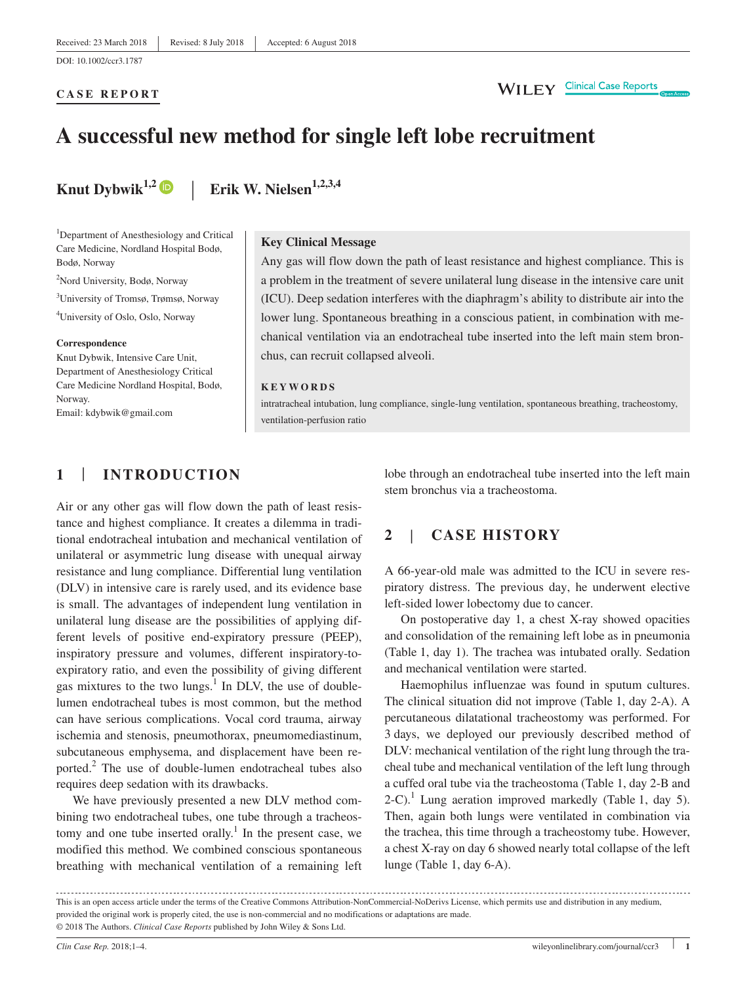#### **CASE REPORT**

# **A successful new method for single left lobe recruitment**

**Knut Dybwik**<sup>1,2</sup>  $\bullet$  | **Erik W. Nielsen**<sup>1,2,3,4</sup>

1 Department of Anesthesiology and Critical Care Medicine, Nordland Hospital Bodø, Bodø, Norway

2 Nord University, Bodø, Norway

3 University of Tromsø, Trømsø, Norway

4 University of Oslo, Oslo, Norway

#### **Correspondence**

Knut Dybwik, Intensive Care Unit, Department of Anesthesiology Critical Care Medicine Nordland Hospital, Bodø, Norway.

Email: [kdybwik@gmail.com](mailto:kdybwik@gmail.com)

#### **Key Clinical Message**

Any gas will flow down the path of least resistance and highest compliance. This is a problem in the treatment of severe unilateral lung disease in the intensive care unit (ICU). Deep sedation interferes with the diaphragm's ability to distribute air into the lower lung. Spontaneous breathing in a conscious patient, in combination with mechanical ventilation via an endotracheal tube inserted into the left main stem bronchus, can recruit collapsed alveoli.

#### **KEYWORDS**

intratracheal intubation, lung compliance, single-lung ventilation, spontaneous breathing, tracheostomy, ventilation-perfusion ratio

# **1** | **INTRODUCTION**

Air or any other gas will flow down the path of least resistance and highest compliance. It creates a dilemma in traditional endotracheal intubation and mechanical ventilation of unilateral or asymmetric lung disease with unequal airway resistance and lung compliance. Differential lung ventilation (DLV) in intensive care is rarely used, and its evidence base is small. The advantages of independent lung ventilation in unilateral lung disease are the possibilities of applying different levels of positive end-expiratory pressure (PEEP), inspiratory pressure and volumes, different inspiratory-toexpiratory ratio, and even the possibility of giving different gas mixtures to the two lungs. $<sup>1</sup>$  In DLV, the use of double-</sup> lumen endotracheal tubes is most common, but the method can have serious complications. Vocal cord trauma, airway ischemia and stenosis, pneumothorax, pneumomediastinum, subcutaneous emphysema, and displacement have been reported. $2$  The use of double-lumen endotracheal tubes also requires deep sedation with its drawbacks.

We have previously presented a new DLV method combining two endotracheal tubes, one tube through a tracheostomy and one tube inserted orally.<sup>1</sup> In the present case, we modified this method. We combined conscious spontaneous breathing with mechanical ventilation of a remaining left

lobe through an endotracheal tube inserted into the left main stem bronchus via a tracheostoma.

# **2** | **CASE HISTORY**

A 66-year-old male was admitted to the ICU in severe respiratory distress. The previous day, he underwent elective left-sided lower lobectomy due to cancer.

On postoperative day 1, a chest X-ray showed opacities and consolidation of the remaining left lobe as in pneumonia (Table 1, day 1). The trachea was intubated orally. Sedation and mechanical ventilation were started.

Haemophilus influenzae was found in sputum cultures. The clinical situation did not improve (Table 1, day 2-A). A percutaneous dilatational tracheostomy was performed. For 3 days, we deployed our previously described method of DLV: mechanical ventilation of the right lung through the tracheal tube and mechanical ventilation of the left lung through a cuffed oral tube via the tracheostoma (Table 1, day 2-B and 2-C).<sup>1</sup> Lung aeration improved markedly (Table 1, day 5). Then, again both lungs were ventilated in combination via the trachea, this time through a tracheostomy tube. However, a chest X-ray on day 6 showed nearly total collapse of the left lunge (Table 1, day 6-A).

| This is an open access article under the terms of the Creative Commons Attribution-NonCommercial-NoDerivs License, which permits use and distribution in any medium, |
|----------------------------------------------------------------------------------------------------------------------------------------------------------------------|
| provided the original work is properly cited, the use is non-commercial and no modifications or adaptations are made.                                                |
| © 2018 The Authors. <i>Clinical Case Reports</i> published by John Wiley & Sons Ltd.                                                                                 |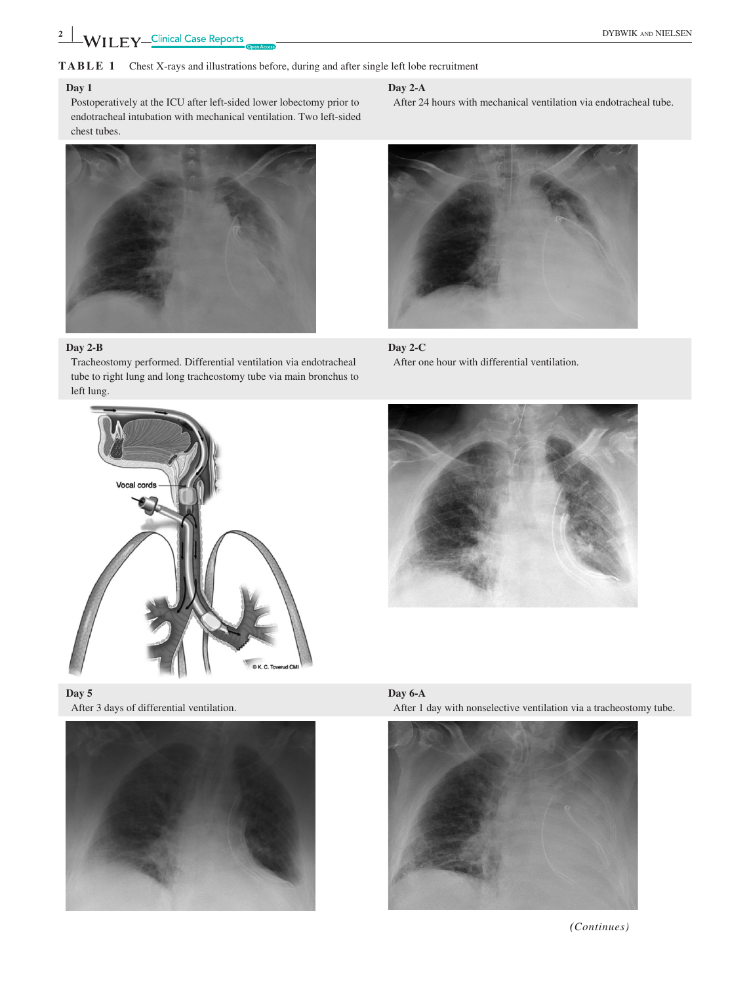**2**  $\frac{2}{\sqrt{2}}$  **DYBWIK** AND NIELSEN

# **TABLE 1** Chest X-rays and illustrations before, during and after single left lobe recruitment

## **Day 1**

Postoperatively at the ICU after left-sided lower lobectomy prior to endotracheal intubation with mechanical ventilation. Two left-sided chest tubes.



# **Day 2-B**

Tracheostomy performed. Differential ventilation via endotracheal tube to right lung and long tracheostomy tube via main bronchus to left lung.







#### **Day 2-A**

After 24 hours with mechanical ventilation via endotracheal tube.











*(Continues)*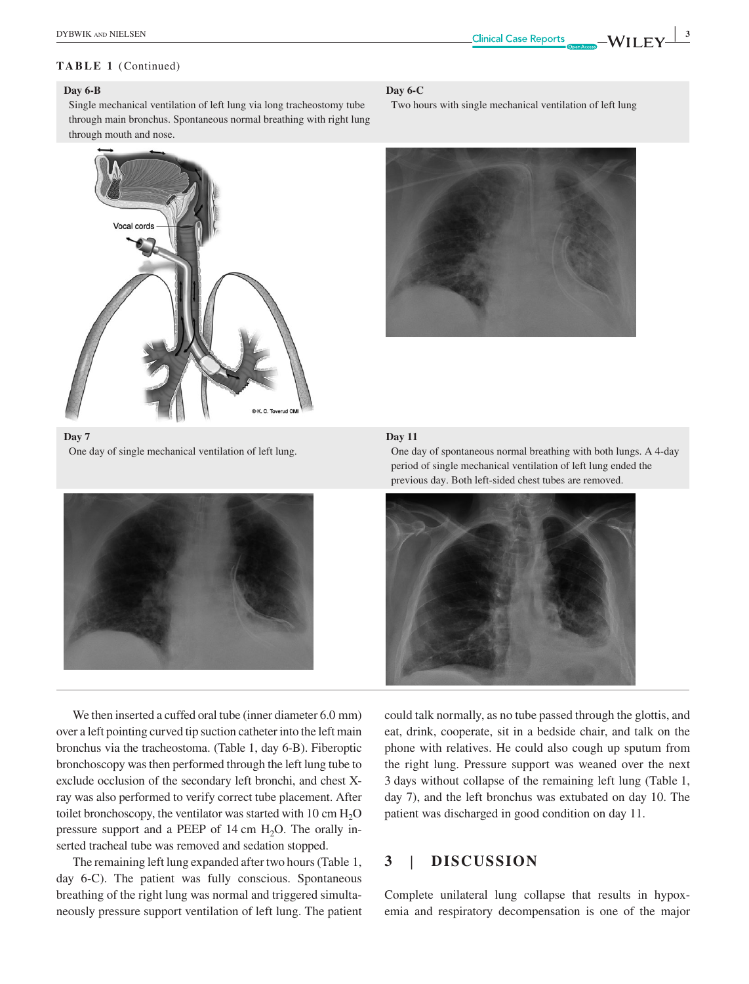## **Day 6-B**

**Day 7**

Single mechanical ventilation of left lung via long tracheostomy tube through main bronchus. Spontaneous normal breathing with right lung through mouth and nose.



One day of single mechanical ventilation of left lung.

#### **Day 6-C**

Two hours with single mechanical ventilation of left lung



## **Day 11**

One day of spontaneous normal breathing with both lungs. A 4-day period of single mechanical ventilation of left lung ended the previous day. Both left-sided chest tubes are removed.



We then inserted a cuffed oral tube (inner diameter 6.0 mm) over a left pointing curved tip suction catheter into the left main bronchus via the tracheostoma. (Table 1, day 6-B). Fiberoptic bronchoscopy was then performed through the left lung tube to exclude occlusion of the secondary left bronchi, and chest Xray was also performed to verify correct tube placement. After toilet bronchoscopy, the ventilator was started with 10 cm  $H_2O$ pressure support and a PEEP of 14 cm  $H_2O$ . The orally inserted tracheal tube was removed and sedation stopped.

The remaining left lung expanded after two hours (Table 1, day 6-C). The patient was fully conscious. Spontaneous breathing of the right lung was normal and triggered simultaneously pressure support ventilation of left lung. The patient could talk normally, as no tube passed through the glottis, and eat, drink, cooperate, sit in a bedside chair, and talk on the phone with relatives. He could also cough up sputum from the right lung. Pressure support was weaned over the next 3 days without collapse of the remaining left lung (Table 1, day 7), and the left bronchus was extubated on day 10. The patient was discharged in good condition on day 11.

# **3** | **DISCUSSION**

Complete unilateral lung collapse that results in hypoxemia and respiratory decompensation is one of the major